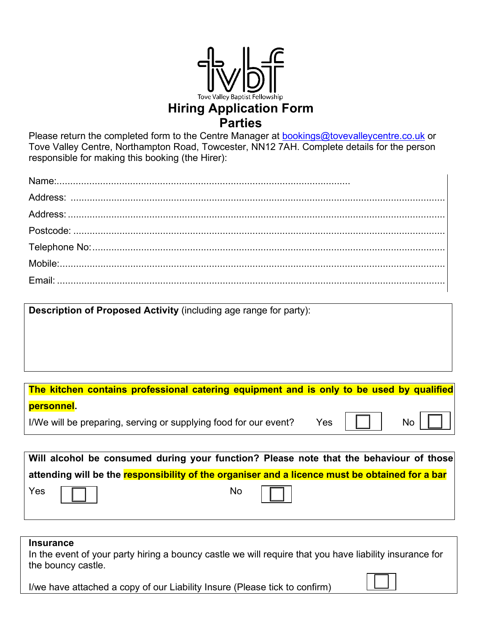

## **Hiring Application Form Parties**

Please return the completed form to the Centre Manager at **bookings@tovevalleycentre.co.uk** or Tove Valley Centre, Northampton Road, Towcester, NN12 7AH. Complete details for the person responsible for making this booking (the Hirer):

**Description of Proposed Activity** (including age range for party):

| The kitchen contains professional catering equipment and is only to be used by qualified |  |  |                                |
|------------------------------------------------------------------------------------------|--|--|--------------------------------|
| personnel.                                                                               |  |  |                                |
| I/We will be preparing, serving or supplying food for our event?                         |  |  | $\gamma$ es $\Box$   No $\Box$ |
|                                                                                          |  |  |                                |

|                    | Will alcohol be consumed during your function? Please note that the behaviour of those         |           |  |  |
|--------------------|------------------------------------------------------------------------------------------------|-----------|--|--|
|                    | attending will be the responsibility of the organiser and a licence must be obtained for a bar |           |  |  |
| Yes $\boxed{\Box}$ |                                                                                                | No $\Box$ |  |  |

## **Insurance**

In the event of your party hiring a bouncy castle we will require that you have liability insurance for the bouncy castle.

I/we have attached a copy of our Liability Insure (Please tick to confirm)